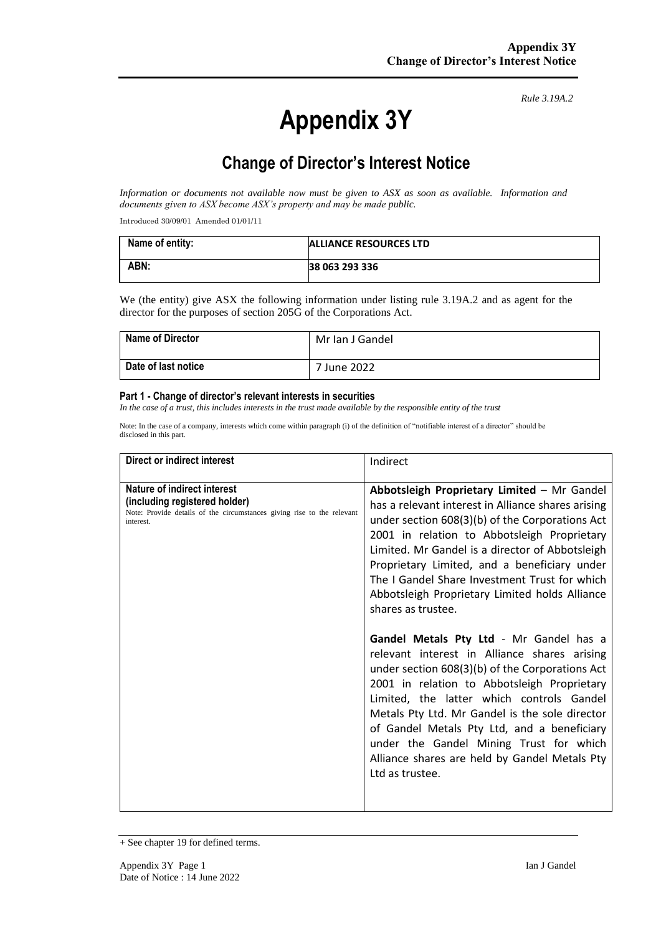# **Appendix 3Y**

*Rule 3.19A.2*

# **Change of Director's Interest Notice**

*Information or documents not available now must be given to ASX as soon as available. Information and documents given to ASX become ASX's property and may be made public.*

Introduced 30/09/01 Amended 01/01/11

| Name of entity: | <b>ALLIANCE RESOURCES LTD</b> |
|-----------------|-------------------------------|
| ABN:            | 38 063 293 336                |

We (the entity) give ASX the following information under listing rule 3.19A.2 and as agent for the director for the purposes of section 205G of the Corporations Act.

| <b>Name of Director</b> | Mr Ian J Gandel |
|-------------------------|-----------------|
| Date of last notice     | 7 June 2022     |

#### **Part 1 - Change of director's relevant interests in securities**

*In the case of a trust, this includes interests in the trust made available by the responsible entity of the trust*

Note: In the case of a company, interests which come within paragraph (i) of the definition of "notifiable interest of a director" should be disclosed in this part.

| Direct or indirect interest                                                                                                                         | Indirect                                                                                                                                                                                                                                                                                                                                                                                                                                                                                                                                                                                                                                                                                                                                                                                                                                                                                  |
|-----------------------------------------------------------------------------------------------------------------------------------------------------|-------------------------------------------------------------------------------------------------------------------------------------------------------------------------------------------------------------------------------------------------------------------------------------------------------------------------------------------------------------------------------------------------------------------------------------------------------------------------------------------------------------------------------------------------------------------------------------------------------------------------------------------------------------------------------------------------------------------------------------------------------------------------------------------------------------------------------------------------------------------------------------------|
| Nature of indirect interest<br>(including registered holder)<br>Note: Provide details of the circumstances giving rise to the relevant<br>interest. | Abbotsleigh Proprietary Limited - Mr Gandel<br>has a relevant interest in Alliance shares arising<br>under section 608(3)(b) of the Corporations Act<br>2001 in relation to Abbotsleigh Proprietary<br>Limited. Mr Gandel is a director of Abbotsleigh<br>Proprietary Limited, and a beneficiary under<br>The I Gandel Share Investment Trust for which<br>Abbotsleigh Proprietary Limited holds Alliance<br>shares as trustee.<br>Gandel Metals Pty Ltd - Mr Gandel has a<br>relevant interest in Alliance shares arising<br>under section 608(3)(b) of the Corporations Act<br>2001 in relation to Abbotsleigh Proprietary<br>Limited, the latter which controls Gandel<br>Metals Pty Ltd. Mr Gandel is the sole director<br>of Gandel Metals Pty Ltd, and a beneficiary<br>under the Gandel Mining Trust for which<br>Alliance shares are held by Gandel Metals Pty<br>Ltd as trustee. |

<sup>+</sup> See chapter 19 for defined terms.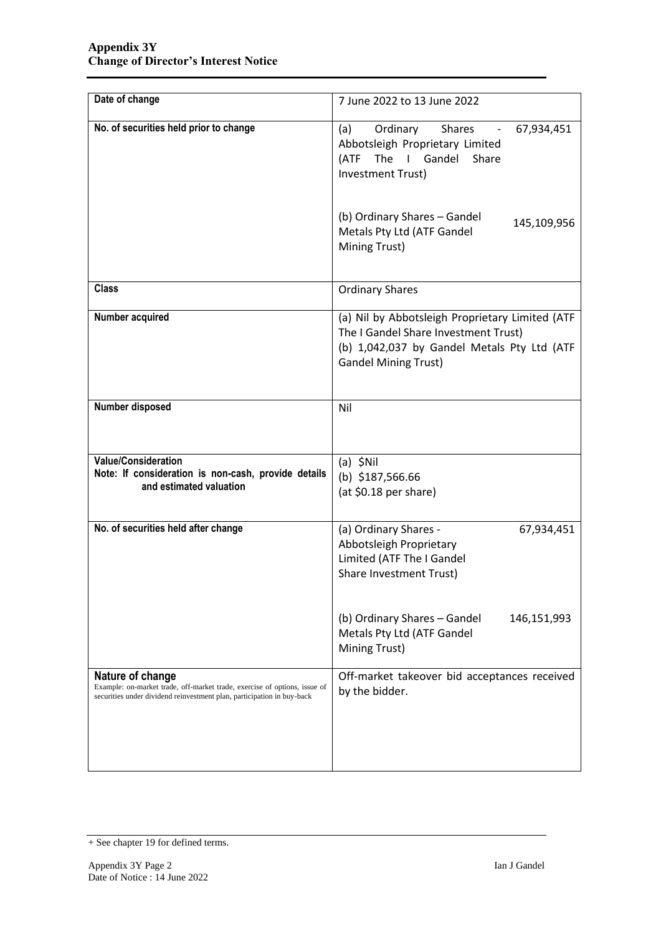| Date of change                                                                                                                                                          | 7 June 2022 to 13 June 2022                                                                                                                                           |  |
|-------------------------------------------------------------------------------------------------------------------------------------------------------------------------|-----------------------------------------------------------------------------------------------------------------------------------------------------------------------|--|
| No. of securities held prior to change                                                                                                                                  | Ordinary<br><b>Shares</b><br>(a)<br>67,934,451<br>Abbotsleigh Proprietary Limited<br>The I Gandel Share<br>(ATF<br>Investment Trust)                                  |  |
|                                                                                                                                                                         | (b) Ordinary Shares - Gandel<br>145,109,956<br>Metals Pty Ltd (ATF Gandel<br>Mining Trust)                                                                            |  |
| <b>Class</b>                                                                                                                                                            | <b>Ordinary Shares</b>                                                                                                                                                |  |
| Number acquired                                                                                                                                                         | (a) Nil by Abbotsleigh Proprietary Limited (ATF<br>The I Gandel Share Investment Trust)<br>(b) 1,042,037 by Gandel Metals Pty Ltd (ATF<br><b>Gandel Mining Trust)</b> |  |
| Number disposed                                                                                                                                                         | Nil                                                                                                                                                                   |  |
| <b>Value/Consideration</b><br>Note: If consideration is non-cash, provide details<br>and estimated valuation                                                            | $(a)$ \$Nil<br>(b) $$187,566.66$<br>(at \$0.18 per share)                                                                                                             |  |
| No. of securities held after change                                                                                                                                     | (a) Ordinary Shares -<br>67,934,451<br>Abbotsleigh Proprietary<br>Limited (ATF The I Gandel<br>Share Investment Trust)                                                |  |
|                                                                                                                                                                         | (b) Ordinary Shares - Gandel<br>146,151,993<br>Metals Pty Ltd (ATF Gandel<br>Mining Trust)                                                                            |  |
| Nature of change<br>Example: on-market trade, off-market trade, exercise of options, issue of<br>securities under dividend reinvestment plan, participation in buy-back | Off-market takeover bid acceptances received<br>by the bidder.                                                                                                        |  |

<sup>+</sup> See chapter 19 for defined terms.